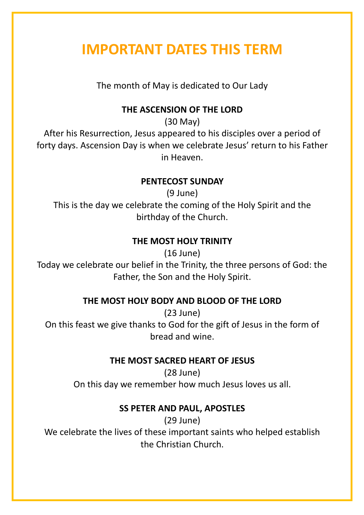# **IMPORTANT DATES THIS TERM**

The month of May is dedicated to Our Lady

## **THE ASCENSION OF THE LORD**

(30 May)

After his Resurrection, Jesus appeared to his disciples over a period of forty days. Ascension Day is when we celebrate Jesus' return to his Father in Heaven.

### **PENTECOST SUNDAY**

(9 June) This is the day we celebrate the coming of the Holy Spirit and the birthday of the Church.

# **THE MOST HOLY TRINITY**

(16 June)

Today we celebrate our belief in the Trinity, the three persons of God: the Father, the Son and the Holy Spirit.

### **THE MOST HOLY BODY AND BLOOD OF THE LORD**

(23 June) On this feast we give thanks to God for the gift of Jesus in the form of bread and wine.

# **THE MOST SACRED HEART OF JESUS**

(28 June) On this day we remember how much Jesus loves us all.

# **SS PETER AND PAUL, APOSTLES**

(29 June) We celebrate the lives of these important saints who helped establish the Christian Church.